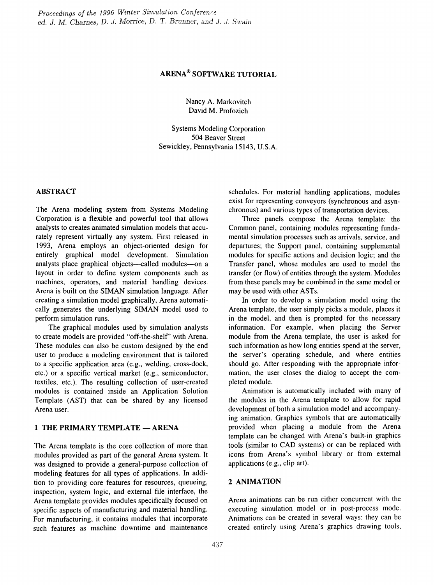# ARENA® SOFTWARE TUTORIAL

Nancy A. Markovitch David M. Profozich

Systems Modeling Corporation 504 Beaver Street Sewickley, Pennsylvania 15143, U.S.A.

#### ABSTRACT

The Arena modeling system from Systems Modeling Corporation is a flexible and powerful tool that allows analysts to creates animated simulation models that accurately represent virtually any system. First released in 1993, Arena employs an object-oriented design for entirely graphical model development. Simulation analysts place graphical objects-called modules-on a layout in order to define system components such as machines, operators, and material handling devices. Arena is built on the SIMAN simulation language. After creating a simulation model graphically, Arena automatically generates the underlying SIMAN model used to perform simulation runs.

The graphical modules used by simulation analysts to create models are provided "off-the-shelf' with Arena. These modules can also be custom designed by the end user to produce a modeling environment that is tailored to a specific application area (e.g., welding, cross-dock, etc.) or a specific vertical market (e.g., semiconductor, textiles, etc.). The resulting collection of user-created modules is contained inside an Application Solution Template (AST) that can be shared by any licensed Arena user.

#### 1 THE PRIMARY TEMPLATE - ARENA

The Arena template is the core collection of more than modules provided as part of the general Arena system. It was designed to provide a general-purpose collection of modeling features for all types of applications. In addition to providing core features for resources, queueing, inspection, system logic, and external file interface, the Arena template provides modules specifically focused on specific aspects of manufacturing and material handling. For manufacturing, it contains modules that incorporate such features as machine downtime and maintenance

schedules. For material handling applications, modules exist for representing conveyors (synchronous and asynchronous) and various types of transportation devices.

Three panels compose the Arena template: the Common panel, containing modules representing fundamental simulation processes such as arrivals, service, and departures; the Support panel, containing supplemental modules for specific actions and decision logic; and the Transfer panel, whose modules are used to model the transfer (or flow) of entities through the system. Modules from these panels may be combined in the same model or may be used with other ASTs.

In order to develop a simulation model using the Arena template, the user simply picks a module, places it in the model, and then is prompted for the necessary information. For example, when placing the Server module from the Arena template, the user is asked for such information as how long entities spend at the server, the server's operating schedule, and where entities should go. After responding with the appropriate information, the user closes the dialog to accept the completed module.

Animation is automatically included with many of the modules in the Arena template to allow for rapid development of both a simulation model and accompanying animation. Graphics symbols that are automatically provided when placing a module from the Arena template can be changed with Arena's built-in graphics tools (similar to CAD systems) or can be replaced with icons from Arena's symbol library or from external applications (e.g., clip art).

## 2 ANIMATION

Arena animations can be run either concurrent with the executing simulation model or in post-process mode. Animations can be created in several ways: they can be created entirely using Arena's graphics drawing tools,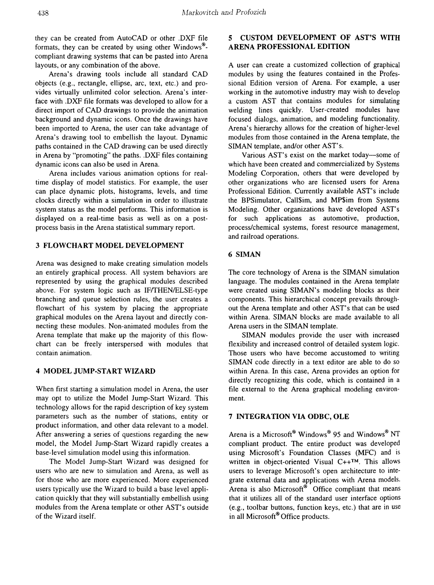they can be created from AutoCAD or other .DXF file formats, they can be created by using other Windows® compliant drawing systems that can be pasted into Arena layouts, or any combination of the above.

Arena's drawing tools include all standard CAD objects (e.g., rectangle, ellipse, arc, text, etc.) and provides virtually unlimited color selection. Arena's interface with .DXF file formats was developed to allow for a direct import of CAD drawings to provide the animation background and dynamic icons. Once the drawings have been imported to Arena, the user can take advantage of Arena's drawing tool to embellish the layout. Dynamic paths contained in the CAD drawing can be used directly in Arena by "promoting" the paths..DXF files containing dynamic icons can also be used in Arena.

Arena includes various animation options for realtime display of model statistics. For example, the user can place dynamic plots, histograms, levels, and time clocks directly within a simulation in order to illustrate system status as the model performs. This information is displayed on a real-time basis as well as on a postprocess basis in the Arena statistical summary report.

## 3 FLOWCHART MODEL DEVELOPMENT

Arena was designed to make creating simulation models an entirely graphical process. All system behaviors are represented by using the graphical modules described above. For system logic such as IF/THEN/ELSE-type branching and queue selection rules, the user creates a flowchart of his system by placing the appropriate graphical modules on the Arena layout and directly connecting these modules. Non-animated modules from the Arena template that make up the majority of this flowchart can be freely interspersed with modules that contain animation.

## 4 MODEL JUMP-START WIZARD

When first starting a simulation model in Arena, the user may opt to utilize the Model Jump-Start Wizard. This technology allows for the rapid description of key system parameters such as the number of stations, entity or product information, and other data relevant to a model. After answering a series of questions regarding the new model, the Model Jump-Start Wizard rapidly creates a base-level simulation model using this information.

The Model Jump-Start Wizard was designed for users who are new to simulation and Arena, as well as for those who are more experienced. More experienced users typically use the Wizard to build a base level application quickly that they will substantially embellish using modules from the Arena template or other AST's outside of the Wizard itself.

# 5 CUSTOM DEVELOPMENT OF AST'S WITH ARENA PROFESSIONAL EDITION

A user can create a customized collection of graphical modules by using the features contained in the Professional Edition version of Arena. For example, a user working in the automotive industry may wish to develop a custom AST that contains modules for simulating welding lines quickly. User-created modules have focused dialogs, animation, and modeling functionality. Arena's hierarchy allows for the creation of higher-level modules from those contained in the Arena template, the SIMAN template, and/or other AST's.

Various AST's exist on the market today-some of which have been created and commercialized by Systems Modeling Corporation, others that were developed by other organizations who are licensed users for Arena Professional Edition. Currently available AST's include the BPSimulator, Call\$im, and MP\$im from Systems Modeling. Other organizations have developed AST's for such applications as automotive, production, process/chemical systems, forest resource management, and railroad operations.

#### 6 SIMAN

The core technology of Arena is the SIMAN simulation language. The modules contained in the Arena template were created using SIMAN's modeling blocks as their components. This hierarchical concept prevails throughout the Arena template and other AST's that can be used within Arena. SIMAN blocks are made available to all Arena users in the SIMAN template.

SIMAN modules provide the user with increased flexibility and increased control of detailed system logic. Those users who have become accustomed to writing SIMAN code directly in a text editor are able to do so within Arena. In this case, Arena provides an option for directly recognizing this code, which is contained in a file external to the Arena graphical modeling environment.

# 7 INTEGRATION VIA ODBC, OLE

Arena is a Microsoft® Windows® 95 and Windows® NT compliant product. The entire product was developed using Microsoft's Foundation Classes (MFC) and is written in object-oriented Visual C++TM. This allows users to leverage Microsoft's open architecture to integrate external data and applications with Arena models. Arena is also Microsoft<sup>®</sup> Office compliant that means that it utilizes all of the standard user interface options (e.g., toolbar buttons, function keys, etc.) that are in use in all Microsoft® Office products.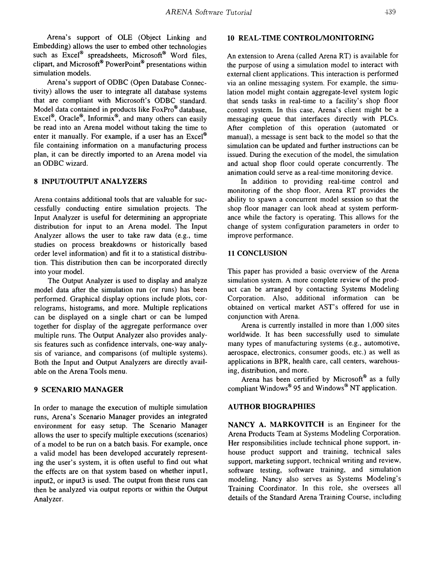Arena's support of OLE (Object Linking and Embedding) allows the user to embed other technologies such as Excel<sup>®</sup> spreadsheets, Microsoft<sup>®</sup> Word files, clipart, and Microsoft® PowerPoint® presentations within simulation models.

Arena's support of ODBC (Open Database Connectivity) allows the user to integrate all database systems that are compliant with Microsoft's ODBC standard. Model data contained in products like FoxPro<sup>®</sup> database, Excel<sup>®</sup>, Oracle<sup>®</sup>, Informix<sup>®</sup>, and many others can easily be read into an Arena model without taking the time to enter it manually. For example, if a user has an Excel® file containing information on a manufacturing process plan, it can be directly imported to an Arena model via an ODBC wizard.

## 8 INPUT/OUTPUT ANALYZERS

Arena contains additional tools that are valuable for successfully conducting entire simulation projects. The Input Analyzer is useful for determining an appropriate distribution for input to an Arena model. The Input Analyzer allows the user to take raw data (e.g., time studies on process breakdowns or historically based order level information) and fit it to a statistical distribution. This distribution then can be incorporated directly into your model.

The Output Analyzer is used to display and analyze model data after the simulation run (or runs) has been performed. Graphical display options include plots, correlograms, histograms, and more. Multiple replications can be displayed on a single chart or can be lumped together for display of the aggregate performance over multiple runs. The Output Analyzer also provides analysis features such as confidence intervals, one-way analysis of variance, and comparisons (of multiple systems). Both the Input and Output Analyzers are directly available on the Arena Tools menu.

# 9 SCENARIO MANAGER

In order to manage the execution of multiple simulation runs, Arena's Scenario Manager provides an integrated environment for easy setup. The Scenario Manager allows the user to specify multiple executions (scenarios) of a model to be run on a batch basis. For example, once a valid model has been developed accurately representing the user's system, it is often useful to find out what the effects are on that system based on whether input1, input2, or input3 is used. The output from these runs can then be analyzed via output reports or within the Output Analyzer.

#### 10 REAL-TIME CONTROL/MONITORING

An extension to Arena (called Arena RT) is available for the purpose of using a simulation model to interact with external client applications. This interaction is performed via an online messaging system. For example, the simulation model might contain aggregate-level system logic that sends tasks in real-time to a facility's shop floor control system. In this case, Arena's client might be a messaging queue that interfaces directly with PLCs. After completion of this operation (automated or manual), a message is sent back to the model so that the simulation can be updated and further instructions can be issued. During the execution of the model, the simulation and actual shop floor could operate concurrently. The animation could serve as a real-time monitoring device.

In addition to providing real-time control and monitoring of the shop floor, Arena RT provides the ability to spawn a concurrent model session so that the shop floor manager can look ahead at system performance while the factory is operating. This allows for the change of system configuration parameters in order to improve performance.

## 11 CONCLUSION

This paper has provided a basic overview of the Arena simulation system. A more complete review of the product can be arranged by contacting Systems Modeling Corporation. Also, additional information can be obtained on vertical market AST's offered for use in conjunction with Arena.

Arena is currently installed in more than 1,000 sites worldwide. It has been successfully used to simulate many types of manufacturing systems (e.g., automotive, aerospace, electronics, consumer goods, etc.) as well as applications in BPR, health care, call centers, warehousing, distribution, and more.

Arena has been certified by Microsoft® as a fully compliant Windows® 95 and Windows® NT application.

# AUTHOR BIOGRAPHIES

NANCY A. MARKOVITCH is an Engineer for the Arena Products Team at Systems Modeling Corporation. Her responsibilities include technical phone support, inhouse product support and training, technical sales support, marketing support, technical writing and review, software testing, software training, and simulation modeling. Nancy also serves as Systems Modeling's Training Coordinator. In this role, she oversees all details of the Standard Arena Training Course, including